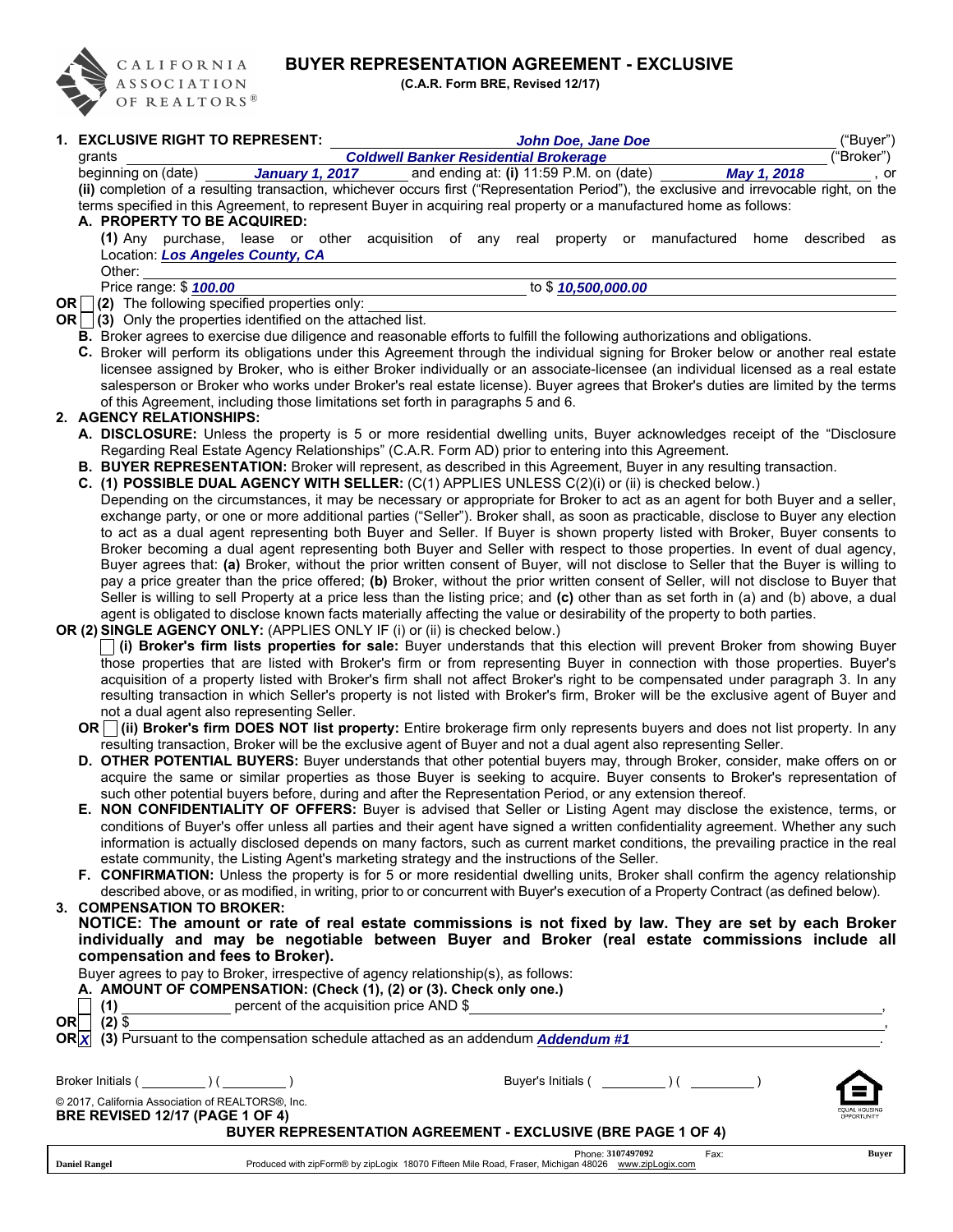

(C.A.R. Form BRE, Revised 12/17)

|                                                                                                        | 1. EXCLUSIVE RIGHT TO REPRESENT:                  |                                                                                                                                           |                                              |  |  | John Doe, Jane Doe                      |  |                          |             |            | ("Buyer")    |
|--------------------------------------------------------------------------------------------------------|---------------------------------------------------|-------------------------------------------------------------------------------------------------------------------------------------------|----------------------------------------------|--|--|-----------------------------------------|--|--------------------------|-------------|------------|--------------|
|                                                                                                        | grants                                            |                                                                                                                                           | <b>Coldwell Banker Residential Brokerage</b> |  |  |                                         |  |                          |             | ("Broker") |              |
|                                                                                                        | beginning on (date)                               | <b>January 1, 2017</b>                                                                                                                    |                                              |  |  | and ending at: (i) 11:59 P.M. on (date) |  |                          | May 1, 2018 |            | , or         |
|                                                                                                        |                                                   | (ii) completion of a resulting transaction, whichever occurs first ("Representation Period"), the exclusive and irrevocable right, on the |                                              |  |  |                                         |  |                          |             |            |              |
|                                                                                                        |                                                   | terms specified in this Agreement, to represent Buyer in acquiring real property or a manufactured home as follows:                       |                                              |  |  |                                         |  |                          |             |            |              |
|                                                                                                        | A. PROPERTY TO BE ACQUIRED:                       |                                                                                                                                           |                                              |  |  |                                         |  |                          |             |            |              |
|                                                                                                        |                                                   | (1) Any purchase, lease or other acquisition of any real property or manufactured home described as                                       |                                              |  |  |                                         |  |                          |             |            |              |
|                                                                                                        | Location: Los Angeles County, CA                  |                                                                                                                                           |                                              |  |  |                                         |  |                          |             |            |              |
|                                                                                                        | Other:                                            |                                                                                                                                           |                                              |  |  |                                         |  |                          |             |            |              |
|                                                                                                        | Price range: \$ 100.00                            |                                                                                                                                           |                                              |  |  | to \$10,500,000.00                      |  |                          |             |            |              |
| OR                                                                                                     |                                                   | $\sqrt{2}$ The following specified properties only:<br>OR $\lceil$ (3) Only the properties identified on the attached list.               |                                              |  |  |                                         |  |                          |             |            |              |
|                                                                                                        |                                                   | B. Broker agrees to exercise due diligence and reasonable efforts to fulfill the following authorizations and obligations.                |                                              |  |  |                                         |  |                          |             |            |              |
|                                                                                                        |                                                   | C. Broker will perform its obligations under this Agreement through the individual signing for Broker below or another real estate        |                                              |  |  |                                         |  |                          |             |            |              |
|                                                                                                        |                                                   | licensee assigned by Broker, who is either Broker individually or an associate-licensee (an individual licensed as a real estate          |                                              |  |  |                                         |  |                          |             |            |              |
|                                                                                                        |                                                   | salesperson or Broker who works under Broker's real estate license). Buyer agrees that Broker's duties are limited by the terms           |                                              |  |  |                                         |  |                          |             |            |              |
|                                                                                                        |                                                   | of this Agreement, including those limitations set forth in paragraphs 5 and 6.                                                           |                                              |  |  |                                         |  |                          |             |            |              |
|                                                                                                        | 2. AGENCY RELATIONSHIPS:                          |                                                                                                                                           |                                              |  |  |                                         |  |                          |             |            |              |
|                                                                                                        |                                                   | A. DISCLOSURE: Unless the property is 5 or more residential dwelling units, Buyer acknowledges receipt of the "Disclosure"                |                                              |  |  |                                         |  |                          |             |            |              |
|                                                                                                        |                                                   | Regarding Real Estate Agency Relationships" (C.A.R. Form AD) prior to entering into this Agreement.                                       |                                              |  |  |                                         |  |                          |             |            |              |
|                                                                                                        |                                                   | B. BUYER REPRESENTATION: Broker will represent, as described in this Agreement, Buyer in any resulting transaction.                       |                                              |  |  |                                         |  |                          |             |            |              |
|                                                                                                        |                                                   | C. (1) POSSIBLE DUAL AGENCY WITH SELLER: (C(1) APPLIES UNLESS C(2)(i) or (ii) is checked below.)                                          |                                              |  |  |                                         |  |                          |             |            |              |
|                                                                                                        |                                                   | Depending on the circumstances, it may be necessary or appropriate for Broker to act as an agent for both Buyer and a seller,             |                                              |  |  |                                         |  |                          |             |            |              |
|                                                                                                        |                                                   | exchange party, or one or more additional parties ("Seller"). Broker shall, as soon as practicable, disclose to Buyer any election        |                                              |  |  |                                         |  |                          |             |            |              |
|                                                                                                        |                                                   | to act as a dual agent representing both Buyer and Seller. If Buyer is shown property listed with Broker, Buyer consents to               |                                              |  |  |                                         |  |                          |             |            |              |
|                                                                                                        |                                                   | Broker becoming a dual agent representing both Buyer and Seller with respect to those properties. In event of dual agency,                |                                              |  |  |                                         |  |                          |             |            |              |
|                                                                                                        |                                                   | Buyer agrees that: (a) Broker, without the prior written consent of Buyer, will not disclose to Seller that the Buyer is willing to       |                                              |  |  |                                         |  |                          |             |            |              |
|                                                                                                        |                                                   | pay a price greater than the price offered; (b) Broker, without the prior written consent of Seller, will not disclose to Buyer that      |                                              |  |  |                                         |  |                          |             |            |              |
|                                                                                                        |                                                   | Seller is willing to sell Property at a price less than the listing price; and (c) other than as set forth in (a) and (b) above, a dual   |                                              |  |  |                                         |  |                          |             |            |              |
|                                                                                                        |                                                   | agent is obligated to disclose known facts materially affecting the value or desirability of the property to both parties.                |                                              |  |  |                                         |  |                          |             |            |              |
|                                                                                                        |                                                   | OR (2) SINGLE AGENCY ONLY: (APPLIES ONLY IF (i) or (ii) is checked below.)                                                                |                                              |  |  |                                         |  |                          |             |            |              |
|                                                                                                        |                                                   | (i) Broker's firm lists properties for sale: Buyer understands that this election will prevent Broker from showing Buyer                  |                                              |  |  |                                         |  |                          |             |            |              |
|                                                                                                        |                                                   | those properties that are listed with Broker's firm or from representing Buyer in connection with those properties. Buyer's               |                                              |  |  |                                         |  |                          |             |            |              |
|                                                                                                        |                                                   | acquisition of a property listed with Broker's firm shall not affect Broker's right to be compensated under paragraph 3. In any           |                                              |  |  |                                         |  |                          |             |            |              |
|                                                                                                        |                                                   | resulting transaction in which Seller's property is not listed with Broker's firm, Broker will be the exclusive agent of Buyer and        |                                              |  |  |                                         |  |                          |             |            |              |
|                                                                                                        |                                                   | not a dual agent also representing Seller.                                                                                                |                                              |  |  |                                         |  |                          |             |            |              |
|                                                                                                        |                                                   | OR ii) Broker's firm DOES NOT list property: Entire brokerage firm only represents buyers and does not list property. In any              |                                              |  |  |                                         |  |                          |             |            |              |
|                                                                                                        |                                                   | resulting transaction, Broker will be the exclusive agent of Buyer and not a dual agent also representing Seller.                         |                                              |  |  |                                         |  |                          |             |            |              |
|                                                                                                        |                                                   | D. OTHER POTENTIAL BUYERS: Buyer understands that other potential buyers may, through Broker, consider, make offers on or                 |                                              |  |  |                                         |  |                          |             |            |              |
|                                                                                                        |                                                   | acquire the same or similar properties as those Buyer is seeking to acquire. Buyer consents to Broker's representation of                 |                                              |  |  |                                         |  |                          |             |            |              |
|                                                                                                        |                                                   | such other potential buyers before, during and after the Representation Period, or any extension thereof.                                 |                                              |  |  |                                         |  |                          |             |            |              |
|                                                                                                        |                                                   | E. NON CONFIDENTIALITY OF OFFERS: Buyer is advised that Seller or Listing Agent may disclose the existence, terms, or                     |                                              |  |  |                                         |  |                          |             |            |              |
|                                                                                                        |                                                   | conditions of Buyer's offer unless all parties and their agent have signed a written confidentiality agreement. Whether any such          |                                              |  |  |                                         |  |                          |             |            |              |
|                                                                                                        |                                                   | information is actually disclosed depends on many factors, such as current market conditions, the prevailing practice in the real         |                                              |  |  |                                         |  |                          |             |            |              |
|                                                                                                        |                                                   | estate community, the Listing Agent's marketing strategy and the instructions of the Seller.                                              |                                              |  |  |                                         |  |                          |             |            |              |
|                                                                                                        |                                                   | F. CONFIRMATION: Unless the property is for 5 or more residential dwelling units, Broker shall confirm the agency relationship            |                                              |  |  |                                         |  |                          |             |            |              |
|                                                                                                        |                                                   | described above, or as modified, in writing, prior to or concurrent with Buyer's execution of a Property Contract (as defined below).     |                                              |  |  |                                         |  |                          |             |            |              |
|                                                                                                        | 3. COMPENSATION TO BROKER:                        |                                                                                                                                           |                                              |  |  |                                         |  |                          |             |            |              |
| NOTICE: The amount or rate of real estate commissions is not fixed by law. They are set by each Broker |                                                   |                                                                                                                                           |                                              |  |  |                                         |  |                          |             |            |              |
|                                                                                                        |                                                   | individually and may be negotiable between Buyer and Broker (real estate commissions include all                                          |                                              |  |  |                                         |  |                          |             |            |              |
|                                                                                                        | compensation and fees to Broker).                 |                                                                                                                                           |                                              |  |  |                                         |  |                          |             |            |              |
|                                                                                                        |                                                   | Buyer agrees to pay to Broker, irrespective of agency relationship(s), as follows:                                                        |                                              |  |  |                                         |  |                          |             |            |              |
|                                                                                                        |                                                   | A. AMOUNT OF COMPENSATION: (Check (1), (2) or (3). Check only one.)                                                                       |                                              |  |  |                                         |  |                          |             |            |              |
|                                                                                                        | (1)                                               | percent of the acquisition price AND \$                                                                                                   |                                              |  |  |                                         |  |                          |             |            |              |
|                                                                                                        | $(2)$ \$<br>ORI                                   |                                                                                                                                           |                                              |  |  |                                         |  |                          |             |            |              |
|                                                                                                        |                                                   | OR $\bar{x}$ (3) Pursuant to the compensation schedule attached as an addendum Addendum #1                                                |                                              |  |  |                                         |  |                          |             |            |              |
|                                                                                                        |                                                   |                                                                                                                                           |                                              |  |  |                                         |  |                          |             |            |              |
|                                                                                                        |                                                   |                                                                                                                                           |                                              |  |  |                                         |  | Buyer's Initials ( ) ( ) |             |            |              |
|                                                                                                        |                                                   |                                                                                                                                           |                                              |  |  |                                         |  |                          |             |            |              |
|                                                                                                        | © 2017, California Association of REALTORS®, Inc. |                                                                                                                                           |                                              |  |  |                                         |  |                          |             |            |              |
|                                                                                                        | <b>BRE REVISED 12/17 (PAGE 1 OF 4)</b>            | <b>BUYER REPRESENTATION AGREEMENT - EXCLUSIVE (BRE PAGE 1 OF 4)</b>                                                                       |                                              |  |  |                                         |  |                          |             |            |              |
|                                                                                                        |                                                   |                                                                                                                                           |                                              |  |  |                                         |  |                          |             |            |              |
|                                                                                                        | <b>Daniel Rangel</b>                              | Produced with zipForm® by zipLogix 18070 Fifteen Mile Road, Fraser, Michigan 48026 www.zipLogix.com                                       |                                              |  |  | Phone: 3107497092                       |  | Fax:                     |             |            | <b>Buver</b> |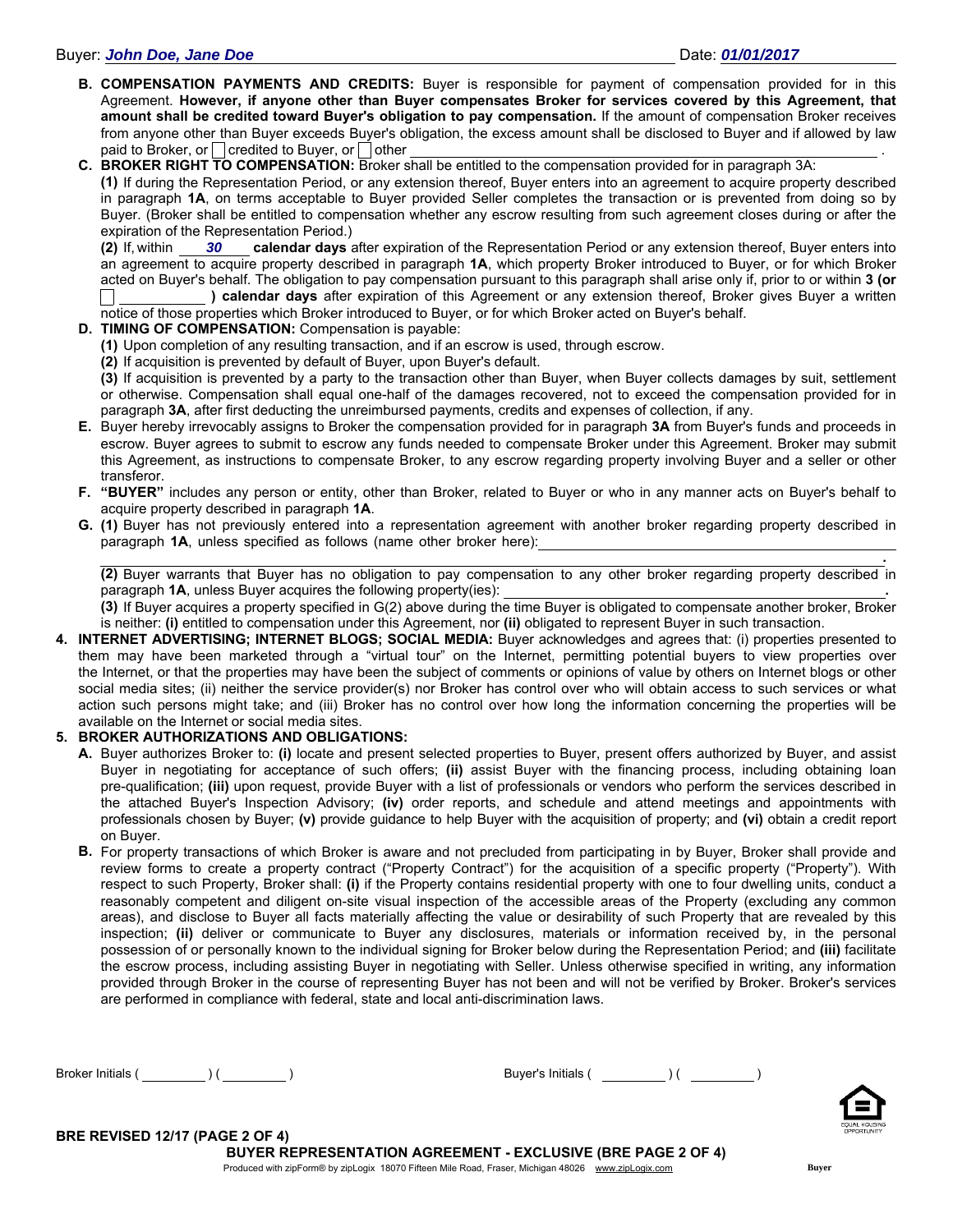- B. COMPENSATION PAYMENTS AND CREDITS: Buyer is responsible for payment of compensation provided for in this Agreement. However, if anyone other than Buyer compensates Broker for services covered by this Agreement, that amount shall be credited toward Buyer's obligation to pay compensation. If the amount of compensation Broker receives from anyone other than Buyer exceeds Buyer's obligation, the excess amount shall be disclosed to Buyer and if allowed by law paid to Broker, or  $\Box$  credited to Buyer, or  $\Box$  other
- C. BROKER RIGHT TO COMPENSATION: Broker shall be entitled to the compensation provided for in paragraph 3A:
- (1) If during the Representation Period, or any extension thereof, Buyer enters into an agreement to acquire property described in paragraph 1A, on terms acceptable to Buyer provided Seller completes the transaction or is prevented from doing so by Buyer. (Broker shall be entitled to compensation whether any escrow resulting from such agreement closes during or after the expiration of the Representation Period.)

(2) If, within  $30$  calendar days after expiration of the Representation Period or any extension thereof, Buyer enters into an agreement to acquire property described in paragraph 1A, which property Broker introduced to Buyer, or for which Broker acted on Buyer's behalf. The obligation to pay compensation pursuant to this paragraph shall arise only if, prior to or within 3 (or ) calendar days after expiration of this Agreement or any extension thereof, Broker gives Buyer a written *30*

notice of those properties which Broker introduced to Buyer, or for which Broker acted on Buyer's behalf.

D. TIMING OF COMPENSATION: Compensation is payable:

(1) Upon completion of any resulting transaction, and if an escrow is used, through escrow.

(2) If acquisition is prevented by default of Buyer, upon Buyer's default.

(3) If acquisition is prevented by a party to the transaction other than Buyer, when Buyer collects damages by suit, settlement or otherwise. Compensation shall equal one-half of the damages recovered, not to exceed the compensation provided for in paragraph 3A, after first deducting the unreimbursed payments, credits and expenses of collection, if any.

- E. Buyer hereby irrevocably assigns to Broker the compensation provided for in paragraph 3A from Buyer's funds and proceeds in escrow. Buyer agrees to submit to escrow any funds needed to compensate Broker under this Agreement. Broker may submit this Agreement, as instructions to compensate Broker, to any escrow regarding property involving Buyer and a seller or other transferor.
- F. "BUYER" includes any person or entity, other than Broker, related to Buyer or who in any manner acts on Buyer's behalf to acquire property described in paragraph 1A.
- G. (1) Buyer has not previously entered into a representation agreement with another broker regarding property described in paragraph 1A, unless specified as follows (name other broker here):

(2) Buyer warrants that Buyer has no obligation to pay compensation to any other broker regarding property described in paragraph 1A, unless Buyer acquires the following property(ies):

(3) If Buyer acquires a property specified in G(2) above during the time Buyer is obligated to compensate another broker, Broker is neither: (i) entitled to compensation under this Agreement, nor (ii) obligated to represent Buyer in such transaction.

4. INTERNET ADVERTISING; INTERNET BLOGS; SOCIAL MEDIA: Buyer acknowledges and agrees that: (i) properties presented to them may have been marketed through a "virtual tour" on the Internet, permitting potential buyers to view properties over the Internet, or that the properties may have been the subject of comments or opinions of value by others on Internet blogs or other social media sites; (ii) neither the service provider(s) nor Broker has control over who will obtain access to such services or what action such persons might take; and (iii) Broker has no control over how long the information concerning the properties will be available on the Internet or social media sites.

# 5. BROKER AUTHORIZATIONS AND OBLIGATIONS:

- A. Buyer authorizes Broker to: (i) locate and present selected properties to Buyer, present offers authorized by Buyer, and assist Buyer in negotiating for acceptance of such offers; (ii) assist Buyer with the financing process, including obtaining loan pre-qualification; (iii) upon request, provide Buyer with a list of professionals or vendors who perform the services described in the attached Buyer's Inspection Advisory; (iv) order reports, and schedule and attend meetings and appointments with professionals chosen by Buyer; (v) provide guidance to help Buyer with the acquisition of property; and (vi) obtain a credit report on Buyer.
- B. For property transactions of which Broker is aware and not precluded from participating in by Buyer, Broker shall provide and review forms to create a property contract ("Property Contract") for the acquisition of a specific property ("Property"). With respect to such Property, Broker shall: (i) if the Property contains residential property with one to four dwelling units, conduct a reasonably competent and diligent on-site visual inspection of the accessible areas of the Property (excluding any common areas), and disclose to Buyer all facts materially affecting the value or desirability of such Property that are revealed by this inspection; (ii) deliver or communicate to Buyer any disclosures, materials or information received by, in the personal possession of or personally known to the individual signing for Broker below during the Representation Period; and (iii) facilitate the escrow process, including assisting Buyer in negotiating with Seller. Unless otherwise specified in writing, any information provided through Broker in the course of representing Buyer has not been and will not be verified by Broker. Broker's services are performed in compliance with federal, state and local anti-discrimination laws.

Broker Initials ( $\rule{1em}{0.15mm}$ ) ( $\rule{1em}{0.15mm}$ )

| Buyer's Initials ( |  |
|--------------------|--|



.

BRE REVISED 12/17 (PAGE 2 OF 4) BUYER REPRESENTATION AGREEMENT - EXCLUSIVE (BRE PAGE 2 OF 4) Produced with zipForm® by zipLogix 18070 Fifteen Mile Road, Fraser, Michigan 48026 www.zipLogix.com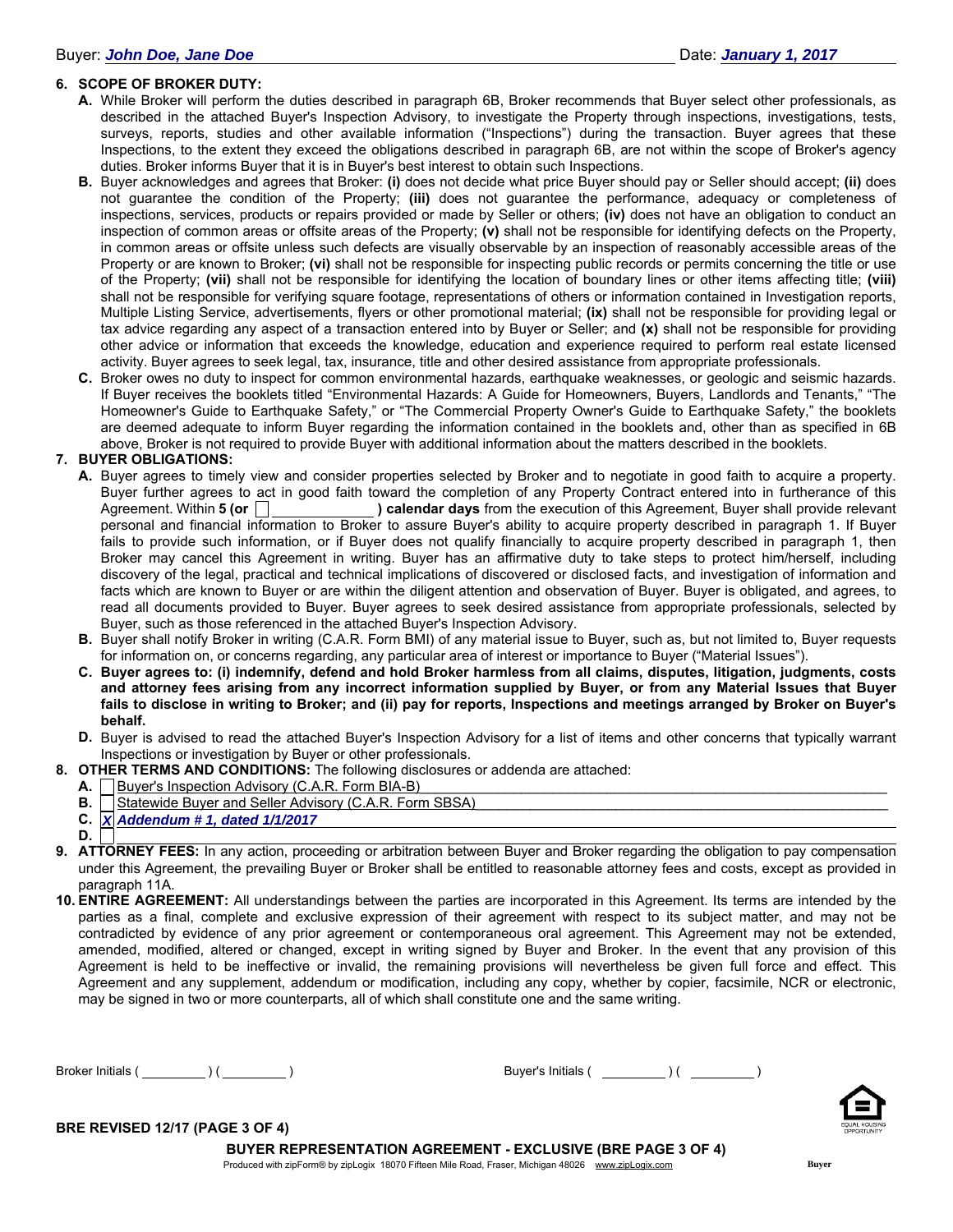### 6. SCOPE OF BROKER DUTY:

- A. While Broker will perform the duties described in paragraph 6B, Broker recommends that Buyer select other professionals, as described in the attached Buyer's Inspection Advisory, to investigate the Property through inspections, investigations, tests, surveys, reports, studies and other available information ("Inspections") during the transaction. Buyer agrees that these Inspections, to the extent they exceed the obligations described in paragraph 6B, are not within the scope of Broker's agency duties. Broker informs Buyer that it is in Buyer's best interest to obtain such Inspections.
- B. Buyer acknowledges and agrees that Broker: (i) does not decide what price Buyer should pay or Seller should accept; (ii) does not guarantee the condition of the Property; (iii) does not guarantee the performance, adequacy or completeness of inspections, services, products or repairs provided or made by Seller or others; (iv) does not have an obligation to conduct an inspection of common areas or offsite areas of the Property; (v) shall not be responsible for identifying defects on the Property, in common areas or offsite unless such defects are visually observable by an inspection of reasonably accessible areas of the Property or are known to Broker; (vi) shall not be responsible for inspecting public records or permits concerning the title or use of the Property; (vii) shall not be responsible for identifying the location of boundary lines or other items affecting title; (viii) shall not be responsible for verifying square footage, representations of others or information contained in Investigation reports, Multiple Listing Service, advertisements, flyers or other promotional material; (ix) shall not be responsible for providing legal or tax advice regarding any aspect of a transaction entered into by Buyer or Seller; and (x) shall not be responsible for providing other advice or information that exceeds the knowledge, education and experience required to perform real estate licensed activity. Buyer agrees to seek legal, tax, insurance, title and other desired assistance from appropriate professionals.
- C. Broker owes no duty to inspect for common environmental hazards, earthquake weaknesses, or geologic and seismic hazards. If Buyer receives the booklets titled "Environmental Hazards: A Guide for Homeowners, Buyers, Landlords and Tenants," "The Homeowner's Guide to Earthquake Safety," or "The Commercial Property Owner's Guide to Earthquake Safety," the booklets are deemed adequate to inform Buyer regarding the information contained in the booklets and, other than as specified in 6B above, Broker is not required to provide Buyer with additional information about the matters described in the booklets.

### 7. BUYER OBLIGATIONS:

- A. Buyer agrees to timely view and consider properties selected by Broker and to negotiate in good faith to acquire a property. Buyer further agrees to act in good faith toward the completion of any Property Contract entered into in furtherance of this Agreement. Within 5 (or  $\Box$  calendar days from the execution of this Agreement, Buyer shall provide relevant personal and financial information to Broker to assure Buyer's ability to acquire property described in paragraph 1. If Buyer fails to provide such information, or if Buyer does not qualify financially to acquire property described in paragraph 1, then Broker may cancel this Agreement in writing. Buyer has an affirmative duty to take steps to protect him/herself, including discovery of the legal, practical and technical implications of discovered or disclosed facts, and investigation of information and facts which are known to Buyer or are within the diligent attention and observation of Buyer. Buyer is obligated, and agrees, to read all documents provided to Buyer. Buyer agrees to seek desired assistance from appropriate professionals, selected by Buyer, such as those referenced in the attached Buyer's Inspection Advisory.
- B. Buyer shall notify Broker in writing (C.A.R. Form BMI) of any material issue to Buyer, such as, but not limited to, Buyer requests for information on, or concerns regarding, any particular area of interest or importance to Buyer ("Material Issues").
- C. Buyer agrees to: (i) indemnify, defend and hold Broker harmless from all claims, disputes, litigation, judgments, costs and attorney fees arising from any incorrect information supplied by Buyer, or from any Material Issues that Buyer fails to disclose in writing to Broker; and (ii) pay for reports, Inspections and meetings arranged by Broker on Buyer's behalf.
- D. Buyer is advised to read the attached Buyer's Inspection Advisory for a list of items and other concerns that typically warrant Inspections or investigation by Buyer or other professionals.
- 8. OTHER TERMS AND CONDITIONS: The following disclosures or addenda are attached:
	- A. Buyer's Inspection Advisory (C.A.R. Form BIA-B)
	- B. Statewide Buyer and Seller Advisory (C.A.R. Form SBSA)
	- C. *X Addendum # 1, dated 1/1/2017*
	- D.
- 9. ATTORNEY FEES: In any action, proceeding or arbitration between Buyer and Broker regarding the obligation to pay compensation under this Agreement, the prevailing Buyer or Broker shall be entitled to reasonable attorney fees and costs, except as provided in paragraph 11A.
- 10. ENTIRE AGREEMENT: All understandings between the parties are incorporated in this Agreement. Its terms are intended by the parties as a final, complete and exclusive expression of their agreement with respect to its subject matter, and may not be contradicted by evidence of any prior agreement or contemporaneous oral agreement. This Agreement may not be extended, amended, modified, altered or changed, except in writing signed by Buyer and Broker. In the event that any provision of this Agreement is held to be ineffective or invalid, the remaining provisions will nevertheless be given full force and effect. This Agreement and any supplement, addendum or modification, including any copy, whether by copier, facsimile, NCR or electronic, may be signed in two or more counterparts, all of which shall constitute one and the same writing.

Broker Initials  $($   $)$   $($   $)$ 

| Buyer's Initials ( |  |  |
|--------------------|--|--|
|                    |  |  |



BUYER REPRESENTATION AGREEMENT - EXCLUSIVE (BRE PAGE 3 OF 4) Produced with zipForm® by zipLogix 18070 Fifteen Mile Road, Fraser, Michigan 48026 www.zipLogix.com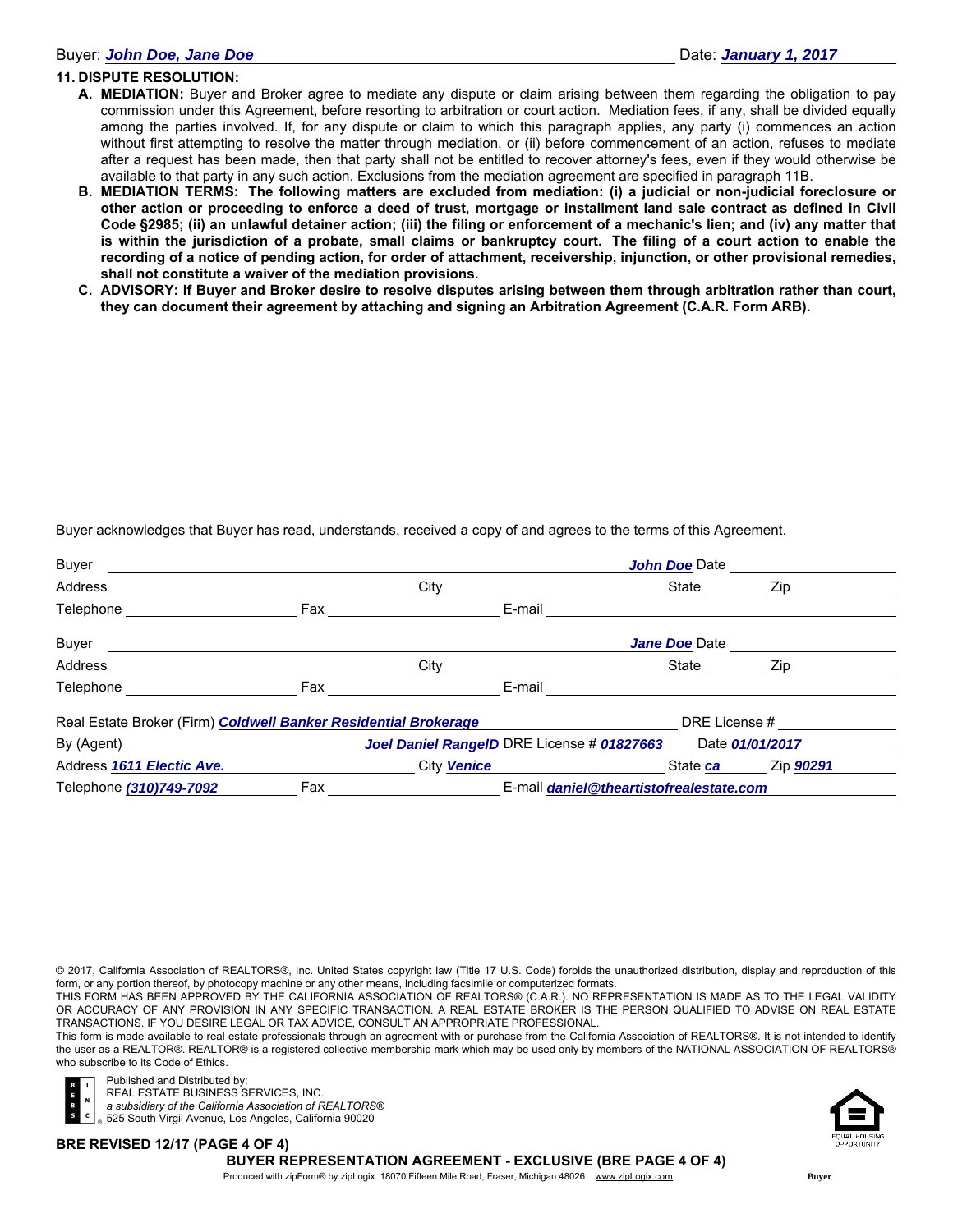# 11. DISPUTE RESOLUTION:

- A. MEDIATION: Buyer and Broker agree to mediate any dispute or claim arising between them regarding the obligation to pay commission under this Agreement, before resorting to arbitration or court action. Mediation fees, if any, shall be divided equally among the parties involved. If, for any dispute or claim to which this paragraph applies, any party (i) commences an action without first attempting to resolve the matter through mediation, or (ii) before commencement of an action, refuses to mediate after a request has been made, then that party shall not be entitled to recover attorney's fees, even if they would otherwise be available to that party in any such action. Exclusions from the mediation agreement are specified in paragraph 11B.
- B. MEDIATION TERMS: The following matters are excluded from mediation: (i) a judicial or non-judicial foreclosure or other action or proceeding to enforce a deed of trust, mortgage or installment land sale contract as defined in Civil Code §2985; (ii) an unlawful detainer action; (iii) the filing or enforcement of a mechanic's lien; and (iv) any matter that is within the jurisdiction of a probate, small claims or bankruptcy court. The filing of a court action to enable the recording of a notice of pending action, for order of attachment, receivership, injunction, or other provisional remedies, shall not constitute a waiver of the mediation provisions.
- C. ADVISORY: If Buyer and Broker desire to resolve disputes arising between them through arbitration rather than court, they can document their agreement by attaching and signing an Arbitration Agreement (C.A.R. Form ARB).

Buyer acknowledges that Buyer has read, understands, received a copy of and agrees to the terms of this Agreement.

| Buyer                                                           |     |                                            | <b>John Doe Date</b>                    |               |                    |
|-----------------------------------------------------------------|-----|--------------------------------------------|-----------------------------------------|---------------|--------------------|
| Address                                                         |     | City                                       |                                         | State         | Zip                |
| Telephone                                                       | Fax | E-mail                                     |                                         |               |                    |
| <b>Buyer</b>                                                    |     |                                            | Jane Doe Date                           |               |                    |
| Address                                                         |     | City                                       |                                         | State         | Zip                |
| Telephone                                                       | Fax | E-mail                                     |                                         |               |                    |
| Real Estate Broker (Firm) Coldwell Banker Residential Brokerage |     |                                            |                                         | DRE License # |                    |
|                                                                 |     | Joel Daniel RangelD DRE License # 01827663 |                                         |               | Date 01/01/2017    |
| Address 1611 Electic Ave.                                       |     | City <b>Venice</b>                         |                                         |               | State ca Zip 90291 |
| Telephone (310)749-7092                                         | Fax |                                            | E-mail daniel@theartistofrealestate.com |               |                    |

© 2017, California Association of REALTORS®, Inc. United States copyright law (Title 17 U.S. Code) forbids the unauthorized distribution, display and reproduction of this form, or any portion thereof, by photocopy machine or any other means, including facsimile or computerized formats.

THIS FORM HAS BEEN APPROVED BY THE CALIFORNIA ASSOCIATION OF REALTORS® (C.A.R.). NO REPRESENTATION IS MADE AS TO THE LEGAL VALIDITY OR ACCURACY OF ANY PROVISION IN ANY SPECIFIC TRANSACTION. A REAL ESTATE BROKER IS THE PERSON QUALIFIED TO ADVISE ON REAL ESTATE TRANSACTIONS. IF YOU DESIRE LEGAL OR TAX ADVICE, CONSULT AN APPROPRIATE PROFESSIONAL.

This form is made available to real estate professionals through an agreement with or purchase from the California Association of REALTORS®. It is not intended to identify the user as a REALTOR®. REALTOR® is a registered collective membership mark which may be used only by members of the NATIONAL ASSOCIATION OF REALTORS® who subscribe to its Code of Ethics.

Published and Distributed by:

REAL ESTATE BUSINESS SERVICES, INC.

*a subsidiary of the California Association of REALTORS®*

525 South Virgil Avenue, Los Angeles, California 90020



BUYER REPRESENTATION AGREEMENT - EXCLUSIVE (BRE PAGE 4 OF 4) Produced with zipForm® by zipLogix 18070 Fifteen Mile Road, Fraser, Michigan 48026 www.zipLogix.com

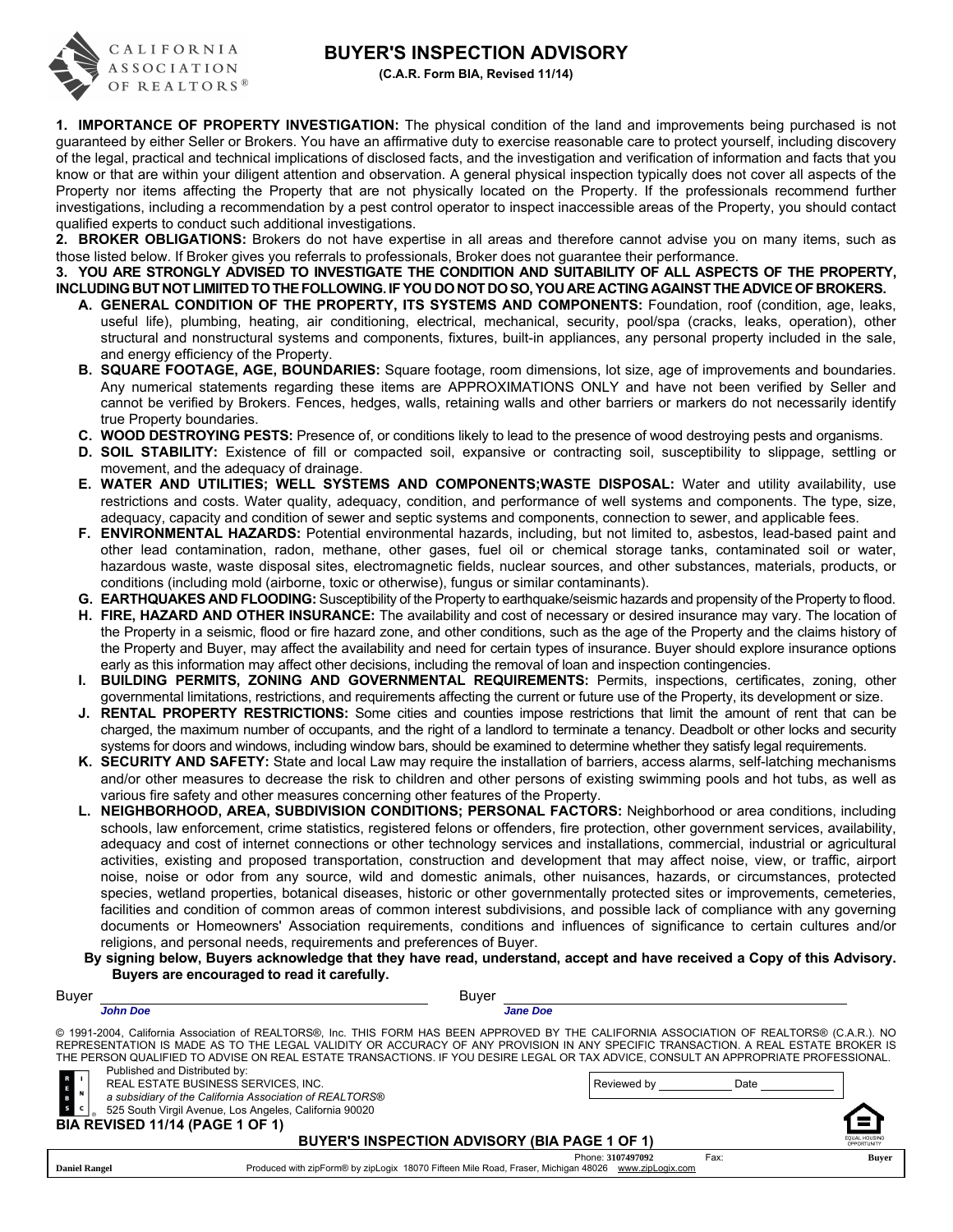# BUYER'S INSPECTION ADVISORY



(C.A.R. Form BIA, Revised 11/14)

1. **IMPORTANCE OF PROPERTY INVESTIGATION:** The physical condition of the land and improvements being purchased is not guaranteed by either Seller or Brokers. You have an affirmative duty to exercise reasonable care to protect yourself, including discovery of the legal, practical and technical implications of disclosed facts, and the investigation and verification of information and facts that you know or that are within your diligent attention and observation. A general physical inspection typically does not cover all aspects of the Property nor items affecting the Property that are not physically located on the Property. If the professionals recommend further investigations, including a recommendation by a pest control operator to inspect inaccessible areas of the Property, you should contact qualified experts to conduct such additional investigations.

2. BROKER OBLIGATIONS: Brokers do not have expertise in all areas and therefore cannot advise you on many items, such as those listed below. If Broker gives you referrals to professionals, Broker does not guarantee their performance.

3. YOU ARE STRONGLY ADVISED TO INVESTIGATE THE CONDITION AND SUITABILITY OF ALL ASPECTS OF THE PROPERTY, INCLUDING BUT NOT LIMIITED TO THE FOLLOWING. IF YOU DO NOT DO SO, YOU ARE ACTING AGAINST THE ADVICE OF BROKERS.

- A. GENERAL CONDITION OF THE PROPERTY, ITS SYSTEMS AND COMPONENTS: Foundation, roof (condition, age, leaks, useful life), plumbing, heating, air conditioning, electrical, mechanical, security, pool/spa (cracks, leaks, operation), other structural and nonstructural systems and components, fixtures, built-in appliances, any personal property included in the sale, and energy efficiency of the Property.
- B. SQUARE FOOTAGE, AGE, BOUNDARIES: Square footage, room dimensions, lot size, age of improvements and boundaries. Any numerical statements regarding these items are APPROXIMATIONS ONLY and have not been verified by Seller and cannot be verified by Brokers. Fences, hedges, walls, retaining walls and other barriers or markers do not necessarily identify true Property boundaries.
- C. WOOD DESTROYING PESTS: Presence of, or conditions likely to lead to the presence of wood destroying pests and organisms.
- D. SOIL STABILITY: Existence of fill or compacted soil, expansive or contracting soil, susceptibility to slippage, settling or movement, and the adequacy of drainage.
- E. WATER AND UTILITIES; WELL SYSTEMS AND COMPONENTS;WASTE DISPOSAL: Water and utility availability, use restrictions and costs. Water quality, adequacy, condition, and performance of well systems and components. The type, size, adequacy, capacity and condition of sewer and septic systems and components, connection to sewer, and applicable fees.
- F. ENVIRONMENTAL HAZARDS: Potential environmental hazards, including, but not limited to, asbestos, lead-based paint and other lead contamination, radon, methane, other gases, fuel oil or chemical storage tanks, contaminated soil or water, hazardous waste, waste disposal sites, electromagnetic fields, nuclear sources, and other substances, materials, products, or conditions (including mold (airborne, toxic or otherwise), fungus or similar contaminants).
- G. EARTHQUAKES AND FLOODING: Susceptibility of the Property to earthquake/seismic hazards and propensity of the Property to flood.
- H. FIRE, HAZARD AND OTHER INSURANCE: The availability and cost of necessary or desired insurance may vary. The location of the Property in a seismic, flood or fire hazard zone, and other conditions, such as the age of the Property and the claims history of the Property and Buyer, may affect the availability and need for certain types of insurance. Buyer should explore insurance options early as this information may affect other decisions, including the removal of loan and inspection contingencies.
- I. BUILDING PERMITS, ZONING AND GOVERNMENTAL REQUIREMENTS: Permits, inspections, certificates, zoning, other governmental limitations, restrictions, and requirements affecting the current or future use of the Property, its development or size.
- J. RENTAL PROPERTY RESTRICTIONS: Some cities and counties impose restrictions that limit the amount of rent that can be charged, the maximum number of occupants, and the right of a landlord to terminate a tenancy. Deadbolt or other locks and security systems for doors and windows, including window bars, should be examined to determine whether they satisfy legal requirements.
- K. SECURITY AND SAFETY: State and local Law may require the installation of barriers, access alarms, self-latching mechanisms and/or other measures to decrease the risk to children and other persons of existing swimming pools and hot tubs, as well as various fire safety and other measures concerning other features of the Property.
- L. NEIGHBORHOOD, AREA, SUBDIVISION CONDITIONS; PERSONAL FACTORS: Neighborhood or area conditions, including schools, law enforcement, crime statistics, registered felons or offenders, fire protection, other government services, availability, adequacy and cost of internet connections or other technology services and installations, commercial, industrial or agricultural activities, existing and proposed transportation, construction and development that may affect noise, view, or traffic, airport noise, noise or odor from any source, wild and domestic animals, other nuisances, hazards, or circumstances, protected species, wetland properties, botanical diseases, historic or other governmentally protected sites or improvements, cemeteries, facilities and condition of common areas of common interest subdivisions, and possible lack of compliance with any governing documents or Homeowners' Association requirements, conditions and influences of significance to certain cultures and/or religions, and personal needs, requirements and preferences of Buyer.

| <b>Buyer</b>                                                         |                                                                                                                                                                                                                                                                                                                                                                                                                                                                                                                                                           | Buver                                                |      |                              |
|----------------------------------------------------------------------|-----------------------------------------------------------------------------------------------------------------------------------------------------------------------------------------------------------------------------------------------------------------------------------------------------------------------------------------------------------------------------------------------------------------------------------------------------------------------------------------------------------------------------------------------------------|------------------------------------------------------|------|------------------------------|
|                                                                      | <b>John Doe</b>                                                                                                                                                                                                                                                                                                                                                                                                                                                                                                                                           | <b>Jane Doe</b>                                      |      |                              |
| $\begin{array}{c cc}\nR & I \\ E & N \\ B & N \\ S & C\n\end{array}$ | © 1991-2004, California Association of REALTORS®, Inc. THIS FORM HAS BEEN APPROVED BY THE CALIFORNIA ASSOCIATION OF REALTORS® (C.A.R.). NO<br>REPRESENTATION IS MADE AS TO THE LEGAL VALIDITY OR ACCURACY OF ANY PROVISION IN ANY SPECIFIC TRANSACTION. A REAL ESTATE BROKER IS<br>THE PERSON QUALIFIED TO ADVISE ON REAL ESTATE TRANSACTIONS. IF YOU DESIRE LEGAL OR TAX ADVICE. CONSULT AN APPROPRIATE PROFESSIONAL.<br>Published and Distributed by:<br>REAL ESTATE BUSINESS SERVICES, INC.<br>a subsidiary of the California Association of REALTORS® | Reviewed by                                          | Date |                              |
|                                                                      | 525 South Virgil Avenue, Los Angeles, California 90020<br><b>BIA REVISED 11/14 (PAGE 1 OF 1)</b>                                                                                                                                                                                                                                                                                                                                                                                                                                                          | <b>BUYER'S INSPECTION ADVISORY (BIA PAGE 1 OF 1)</b> |      | EQUAL HOUSING<br>OPPORTUNITY |
| <b>Daniel Rangel</b>                                                 | Produced with zipForm® by zipLogix 18070 Fifteen Mile Road, Fraser, Michigan 48026 www.zipLogix.com                                                                                                                                                                                                                                                                                                                                                                                                                                                       | Phone: 3107497092                                    | Fax: | <b>Buver</b>                 |

By signing below, Buyers acknowledge that they have read, understand, accept and have received a Copy of this Advisory. Buyers are encouraged to read it carefully.